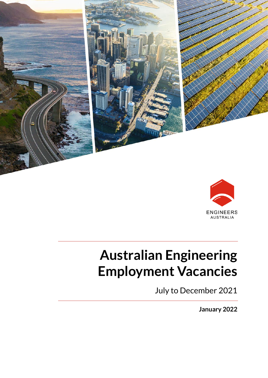



# **Australian Engineering Employment Vacancies**

July to December 2021

**January 2022**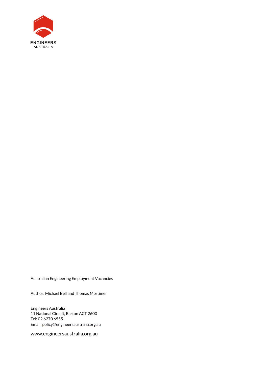

Australian Engineering Employment Vacancies

Author: Michael Bell and Thomas Mortimer

Engineers Australia 11 National Circuit, Barton ACT 2600 Tel: 02 6270 6555 Email[: policy@engineersaustralia.org.au](mailto:policy@engineersaustralia.org.au)

www.engineersaustralia.org.au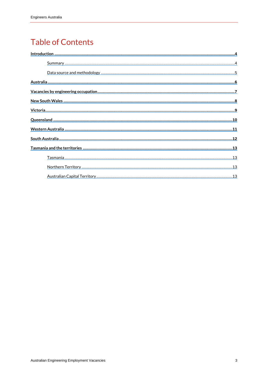#### **Table of Contents**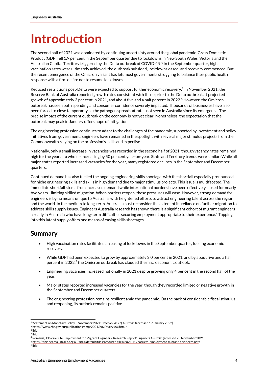## <span id="page-3-0"></span>**Introduction**

The second half of 2021 was dominated by continuing uncertainty around the global pandemic. Gross Domestic Product (GDP) fell 1.9 per centin the September quarter due to lockdowns in New South Wales, Victoria and the Australian Capital Territory triggered by the Delta outbreak of COVID-19.<sup>1</sup> In the September quarter, high vaccination rates were ultimately achieved, the outbreak subsided, lockdowns eased, and recovery commenced. But the recent emergence of the Omicron variant has left most governments struggling to balance their public health response with a firm desire not to resume lockdowns.

Reduced restrictions post-Delta were expected to support further economic recovery.<sup>2</sup> In November 2021, the Reserve Bank of Australia reported growth rates consistent with those prior to the Delta outbreak. It projected growth of approximately 3 per cent in 2021, and about five and a half percent in 2022.<sup>3</sup> However, the Omicron outbreak has seen both spending and consumer confidence severely impacted. Thousands of businesses have also been forced to close temporarily as the pathogen spreads at rates not seen in Australia since its emergence. The precise impact of the current outbreak on the economy is not yet clear. Nonetheless, the expectation that the outbreak may peak in January offers hope of mitigation.

The engineering profession continues to adapt to the challenges ofthe pandemic, supported by investment and policy initiatives from government. Engineers have remained in the spotlight with several major stimulus projects from the Commonwealth relying on the profession's skills and expertise.

Nationally, only a small increase in vacancies was recorded in the second half of 2021, though vacancy rates remained high for the year as a whole - increasing by 50 per cent year-on-year. State and Territory trends were similar: While all major states reported increased vacancies for the year, many registered declines in the September and December quarters.

Continued demand has also fuelled the ongoing engineering skills shortage, with the shortfall especially pronounced for niche engineering skills and skills in high demand due to major stimulus projects. This issue is multifaceted. The immediate shortfall stems from increased demand while international borders have been effectively closed for nearly two years - limiting skilled migration. When borders reopen, these pressures will ease. However, strong demand for engineers is by no means unique to Australia, with heightened efforts to attract engineering talent across the region and the world. In the medium to long-term, Australia must reconsider the extent of its reliance on further migration to address skills supply issues. Engineers Australia research has shown there is a significant cohort of migrant engineers already in Australia who have long-term difficulties securing employment appropriate to their experience.<sup>4</sup> Tapping into this latent supply offers one means of easing skills shortages.

#### <span id="page-3-1"></span>**Summary**

- High vaccination rates facilitated an easing of lockdowns in the September quarter, fuelling economic recovery.
- While GDP had been expected to grow by approximately 3.0 per cent in 2021, and by about five and a half percent in 2022,<sup>5</sup> the Omicron outbreak has clouded the macroeconomic outlook.
- Engineering vacancies increased nationally in 2021 despite growing only 4 per cent in the second half of the year.
- Major states reported increased vacancies for the year, though they recorded limited or negative growth in the September and December quarters.
- The engineering profession remains resilient amid the pandemic. On the back of considerable fiscal stimulus and reopening, its outlook remains positive.

<sup>1</sup> 'Statement on Monetary Policy – November 2021' *Reserve Bank of Australia* (accessed 19 January 2022)

<sup>&</sup>lt;https://www.rba.gov.au/publications/smp/2021/nov/overview.html>

<sup>2</sup> ibid

<sup>3</sup> ibid

<sup>4</sup> Romanis, J 'Barriers to Employment for Migrant Engineers; Research Report' *Engineers Australia* (accessed 23 November 2021)

[<sup>&</sup>lt;https://engineersaustralia.org.au/sites/default/files/resource-files/2021-10/barriers-employment-migrant-engineers.pdf>](https://engineersaustralia.org.au/sites/default/files/resource-files/2021-10/barriers-employment-migrant-engineers.pdf)

<sup>5</sup> ibid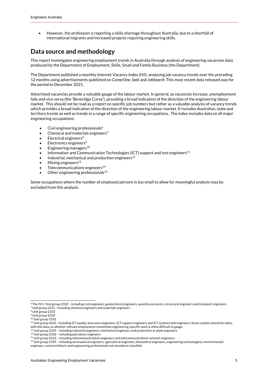• However, the profession is reporting a skills shortage throughout Australia, due to a shortfall of international migrants and increased projects requiring engineering skills.

#### <span id="page-4-0"></span>**Data source and methodology**

This report investigates engineering employment trends in Australia through analysis of engineering vacancies data produced by the Department of Employment, Skills, Small and Family Business (the Department).

The Department published a monthly Internet Vacancy Index (IVI), analysing job vacancy trends over the preceding 12 months using advertisements published on *CareerOne*, *Seek* and *JobSearch*. This most recent data released was for the period to December 2021.

Advertised vacancies provide a valuable gauge of the labour market. In general, as vacancies increase, unemployment falls and vice versa (the 'Beveridge Curve'), providing a broad indication of the direction of the engineering labour market. This should not be read as a report on specific job numbers but rather as a valuable analysis of vacancy trends which provides a broad indication of the direction of the engineering labour market. It includes Australian, state and territory trends as well as trends in a range of specific engineering occupations. The index includes data on all major engineering occupations:

- Civil engineering professionals<sup>6</sup>
- Chemical and materials engineers<sup>7</sup>
- Electrical engineers $8$
- Electronics engineers<sup>9</sup>
- $\bullet$  Engineering managers<sup>10</sup>
- Information and Communication Technologies (ICT) support and test engineers<sup>11</sup>
- Industrial, mechanical and production engineers<sup>12</sup>
- Mining engineers $13$
- Telecommunications engineers<sup>14</sup>
- Other engineering professionals<sup>15</sup>

Some occupations where the number of employed persons is too small to allow for meaningful analysis may be excluded from this analysis.

<sup>&</sup>lt;sup>6</sup> The IVI's 'Unit group 2332' - including civil engineers, geotechnical engineers, quantity surveyors, structural engineers and transport engineers <sup>7</sup> Unit group 2331 - including chemical engineers and materials engineers

<sup>8</sup> Unit group 2333

<sup>9</sup> Unit group 2334

<sup>10</sup> Unit group 1332

<sup>11</sup> Unit group 2632 - including ICT quality assurance engineers, ICT support engineers and ICT systems test engineers. Some caution should be taken with this data, as whether relevant employment constitutes engineering-specific work is often difficult to gauge.

<sup>12</sup> Unit group 2335 – including industrial engineers, mechanical engineers and production or plant engineers

<sup>13</sup> Unit group 2336 – including petroleum engineers

<sup>14</sup> Unit group 2633 – including telecommunications engineers and telecommunications network engineers

<sup>15</sup> Unit group 2339 – including aeronautical engineers, agricultural engineers, biomedical engineers, engineering technologists, environmental engineers, naval architects and engineering professionals not elsewhere classified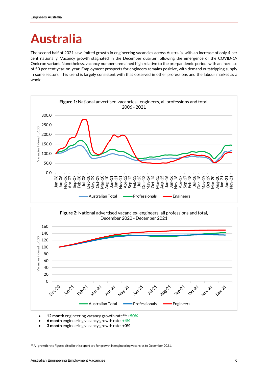## <span id="page-5-0"></span>**Australia**

The second half of 2021 saw limited growth in engineering vacancies across Australia, with an increase of only 4 per cent nationally. Vacancy growth stagnated in the December quarter following the emergence of the COVID-19 Omicron variant. Nonetheless, vacancy numbers remained high relative to the pre-pandemic period, with an increase of 50 per cent year-on-year. Employment prospects for engineers remains positive, with demand outstripping supply in some sectors. This trend is largely consistent with that observed in other professions and the labour market as a whole.





- **12 month** engineering vacancy growth rate<sup>16</sup>: **+50%**
- **6 month** engineering vacancy growth rate: **+4%**
- **3 month** engineering vacancy growth rate: **+0%**

<sup>&</sup>lt;sup>16</sup> All growth rate figures cited in this report are for growth in engineering vacancies to December 2021.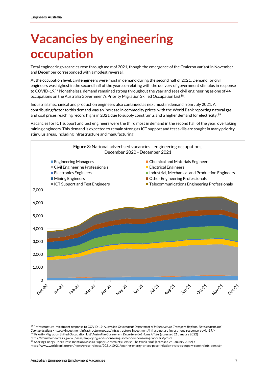### <span id="page-6-0"></span>**Vacancies by engineering occupation**

Total engineering vacancies rose through most of 2021, though the emergence of the Omicron variant in November and December corresponded with a modest reversal.

At the occupation level, civil engineers were most in demand during the second half of 2021. Demand for civil engineers was highest in the second half of the year, correlating with the delivery of government stimulus in response to COVID-19.<sup>17</sup> Nonetheless, demand remained strong throughout the year and sees civil engineering as one of 44 occupations on the Australia Government's Priority Migration Skilled Occupation List $^{18}$ .

Industrial, mechanical and production engineers also continued as next most in demand from July 2021. A contributing factor to this demand was an increase in commodity prices, with the World Bank reporting natural gas and coal prices reaching record highs in 2021 due to supply constraints and a higher demand for electricity.<sup>19</sup>

Vacancies for ICT support and test engineers were the third most in demand in the second half of the year, overtaking mining engineers. This demand is expected to remain strong as ICT support and test skills are sought in many priority stimulus areas, including infrastructure and manufacturing.



<sup>17&</sup>lt;sup>"</sup> Infrastructure investment response to COVID-19' Australian Government Department of Infrastructure, Transport, Regional Development and Communications <https://investment.infrastructure.gov.au/infrastructure\_investment/infrastructure\_investment\_response\_covid-19/><br><sup>18</sup> 'Priority Migration Skilled Occupation List' Australian Government Department of Home Af

https://immi.homeaffairs.gov.au/visas/employing-and-sponsoring-someone/sponsoring-workers/pmsol

<sup>19</sup> 'Soaring Energy Prices Pose Inflation Risks as Supply Constraints Persist' The *World Bank* (accessed 25 January 2022) < https://www.worldbank.org/en/news/press-release/2021/10/21/soaring-energy-prices-pose-inflation-risks-as-supply-constraints-persist>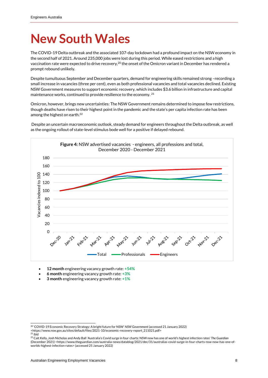### <span id="page-7-0"></span>**New South Wales**

The COVID-19 Delta outbreak and the associated 107-day lockdown had a profound impact on the NSW economy in the second half of 2021. Around 235,000 jobs were lost during this period. While eased restrictions and a high vaccination rate were expected to drive recovery, $^{20}$  the onset of the Omicron variant in December has rendered a prompt rebound unlikely.

Despite tumultuous September and December quarters, demand for engineering skills remained strong –recording a small increase in vacancies (three per cent), even as both professional vacancies and total vacancies declined. Existing NSW Government measures to support economic recovery, which includes \$3.6 billion in infrastructure and capital maintenance works, continued to provide resilience to the economy. <sup>21</sup>

Omicron, however, brings new uncertainties: The NSW Government remains determined to impose few restrictions, though deaths have risen to their highest point in the pandemic and the state's per capita infection rate has been among the highest on earth.<sup>22</sup>

Despite an uncertain macroeconomic outlook, steady demand for engineers throughout the Delta outbreak, as well as the ongoing rollout of state-level stimulus bode well for a positive if delayed rebound.



- **12 month** engineering vacancy growth rate: **+54%**
- **6 month** engineering vacancy growth rate: **+3%**
- **3 month** engineering vacancy growth rate: **+1%**

<sup>20</sup> 'COVID-19 Economic Recovery Strategy: A bright future for NSW' *NSW Government* (accessed 21 January 2022)

<sup>&</sup>lt;https://www.nsw.gov.au/sites/default/files/2021-10/economic-recovery-report\_211021.pdf><br><sup>21</sup> ibid

<sup>22</sup> Cait Kelly, Josh Nicholas and Andy Ball 'Australia's Covid surge in four charts: NSW now has one of world's highest infection rates' *The Guardian*  (December 2021) <https://www.theguardian.com/australia-news/datablog/2021/dec/31/australias-covid-surge-in-four-charts-nsw-now-has-one-ofworlds-highest-infection-rates> (accessed 25 January 2022)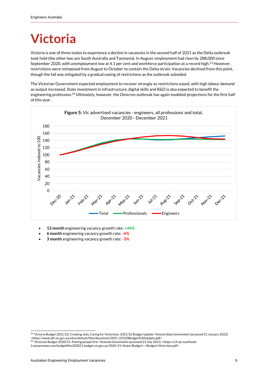### <span id="page-8-0"></span>**Victoria**

Victoria is one of three states to experience a decline in vacancies in the second half of 2021 as the Delta outbreak took hold (the other two are South Australia and Tasmania). In August, employment had risen by 288,000 since September 2020, with unemployment low at 4.1 per cent and workforce participation at a record high.<sup>23</sup> However, restrictions were reimposed from August to October to contain the Delta strain. Vacancies declined from this point, though the fall was mitigated by a gradual easing of restrictions as the outbreak subsided.

The Victorian Government expected employment to recover strongly as restrictions eased, with high labour demand as output increased. State investment in infrastructure, digital skills and R&D is also expected to benefit the engineering profession.<sup>24</sup> Ultimately, however, the Omicron outbreak has again muddied projections for the first half of this year.



- **12 month** engineering vacancy growth rate: **+44%**
- **6 month** engineering vacancy growth rate: **-6%**
- **3 month** engineering vacancy growth rate: **-3%**

<sup>23</sup> 'Victoria Budget 2021/22: Creating Jobs, Caring for Victorians: 2021/22 Budget Update' *Victoria State Government* (accessed 21 January 2022) <https://www.dtf.vic.gov.au/sites/default/files/document/2021-22%20Budget%20Update.pdf>

<sup>24</sup> 'Victorian Budget 2020/21: Putting people first' *Victorian Government (*accessed 21 July 2021) <https://s3-ap-southeast-

<sup>2.</sup>amazonaws.com/budgetfiles202021.budget.vic.gov.au/2020-21+State+Budget+-+Budget+Overview.pdf>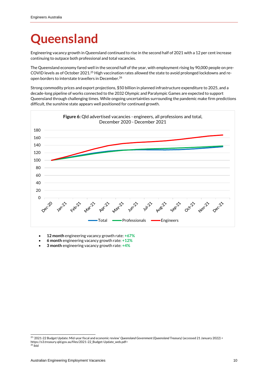### <span id="page-9-0"></span>**Queensland**

Engineering vacancy growth in Queensland continued to rise in the second half of 2021 with a 12 per cent increase continuing to outpace both professional and total vacancies.

The Queensland economy fared well in the second half of the year, with employment rising by 90,000 people on pre-COVID levels as of October 2021.<sup>25</sup> High vaccination rates allowed the state to avoid prolonged lockdowns and reopen borders to interstate travellers in December. 26

Strong commodity prices and export projections, \$50 billion in planned infrastructure expenditure to 2025, and a decade-long pipeline of works connected to the 2032 Olympic and Paralympic Games are expected to support Queensland through challenging times. While ongoing uncertainties surrounding the pandemic make firm predictions difficult, the sunshine state appears well positioned for continued growth.



- **12 month** engineering vacancy growth rate: **+67%**
- **6 month** engineering vacancy growth rate: **+12%**
- **3 month** engineering vacancy growth rate: **+4%**

<sup>25</sup> '2021-22 Budget Update: Mid-year fiscal and economic review' *Queensland Government (Queensland Treasury)* (accessed 21 January 2022) < https://s3.treasury.qld.gov.au/files/2021-22\_Budget-Update\_web.pdf>  $26$  ibid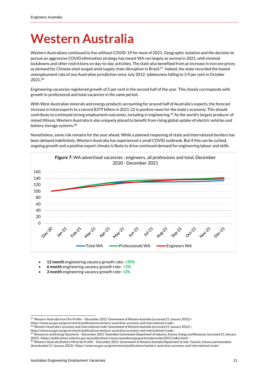#### <span id="page-10-0"></span>**Western Australia**

Western Australians continued to live without COVID-19 for most of 2021. Geographic isolation and the decision to pursue an aggressive COVID elimination strategy has meant WA ran largely as normal in 2021, with minimal lockdowns and other restrictions on day-to-day activities. The state also benefited from an increase in iron ore prices as demand for Chinese steel surged amid supply chain disruption in Brazil.<sup>27</sup> Indeed, the state recorded the lowest unemployment rate of any Australian jurisdiction since July 2012- joblessness falling to 3.9 per cent in October 2021. 28

Engineering vacancies registered growth of 5 per cent in the second half of the year. This closely corresponds with growth in professional and total vacancies in the same period.

With West Australian minerals and energy products accounting for around half of Australia's exports, the forecast increase in total exports to a record \$379 billion in 2021-22 is positive news for the state's economy. This should contribute to continued strong employment outcomes, including in engineering.<sup>29</sup> As the world's largest producer of mined lithium, Western Australia is also uniquely placed to benefit from rising global uptake of electric vehicles and battery storage systems. 30

Nonetheless, some risk remains for the year ahead. While a planned reopening of state and international borders has been delayed indefinitely, Western Australia has experienced a small COVID outbreak. But ifthis can be curbed, ongoing growth and a positive export climate is likely to drive continued demand for engineering labour and skills.



- **12 month** engineering vacancy growth rate: **+39%**
- **6 month** engineering vacancy growth rate: **+5%**
- **3 month** engineering vacancy growth rate: **+2%**

https://www.wa.gov.au/government/publications/western-australias-economy-and-international-trade>

<sup>27</sup> 'Western Australia Iron Ore Profile – December 2021' *Government of Western Australia* (accessed 21 January 2022) <

<sup>28</sup> 'Western Australia's economy and international trade' *Government of Western Australia* (accessed 21 January 2022) <

https://www.wa.gov.au/government/publications/western-australias-economy-and-international-trade><br><sup>29</sup> 'Resources and Energy Quarterly – December 2021' Australian Government Department of Industry, Science, Energy and Reso 2022) <https://publications.industry.gov.au/publications/resourcesandenergyquarterlydecember2021/index.html> <sup>30</sup> 'Western Australia Battery Minerals Profile – December 2021' *Government of Western Australia Department of Jobs, Tourism, Science and Innovation*

<sup>(</sup>downloaded 21 January 2022) <https://www.wa.gov.au/government/publications/western-australias-economy-and-international-trade>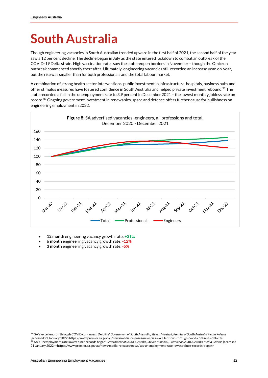### <span id="page-11-0"></span>**South Australia**

Though engineering vacancies in South Australian trended upward in the first half of 2021, the second half of the year saw a 12 per cent decline. The decline began in July as the state entered lockdown to combat an outbreak of the COVID-19 Delta strain. High vaccination rates saw the state reopen borders in November – though the Omicron outbreak commenced shortly thereafter. Ultimately, engineering vacancies still recorded an increase year-on-year, but the rise was smaller than for both professionals and the total labour market.

A combination of strong health sector interventions, public investment in infrastructure, hospitals, business hubs and other stimulus measures have fostered confidence in South Australia and helped private investment rebound. <sup>31</sup> The state recorded a fall in the unemployment rate to 3.9 percent in December 2021 – the lowest monthly jobless rate on record.<sup>32</sup> Ongoing government investment in renewables, space and defence offers further cause for bullishness on engineering employment in 2022.



- **12 month** engineering vacancy growth rate: **+21%**
- **6 month** engineering vacancy growth rate: **-12%**
- **3 month** engineering vacancy growth rate: -**5%**

<sup>31</sup> 'SA's 'excellent run through COVID continues': Deloitte' *Government of South Australia, Steven Marshall, Premier of South Australia Media Release*  (accessed 21 January 2022) https://www.premier.sa.gov.au/news/media-releases/news/sas-excellent-run-through-covid-continues-deloitte<br><sup>32</sup> 'SA's unemployment rate lowest since records began' Government of South Australia, S 21 January 2022) <https://www.premier.sa.gov.au/news/media-releases/news/sas-unemployment-rate-lowest-since-records-began>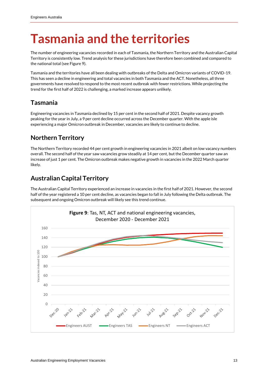#### <span id="page-12-0"></span>**Tasmania and the territories**

The number of engineering vacancies recorded in each of Tasmania, the Northern Territory and the Australian Capital Territory is consistently low. Trend analysis for these jurisdictions have therefore been combined and compared to the national total (see Figure 9).

Tasmania and the territories have all been dealing with outbreaks of the Delta and Omicron variants of COVID-19. This has seen a decline in engineering and total vacancies in both Tasmania and the ACT. Nonetheless, all three governments have resolved to respond to the most recent outbreak with fewer restrictions. While projecting the trend for the first half of 2022 is challenging, a marked increase appears unlikely.

#### <span id="page-12-1"></span>**Tasmania**

Engineering vacancies in Tasmania declined by 15 per cent in the second half of 2021. Despite vacancy growth peaking for the year in July, a 9 per cent decline occurred across the December quarter. With the apple isle experiencing a major Omicron outbreak in December, vacancies are likely to continue to decline.

#### <span id="page-12-2"></span>**Northern Territory**

The Northern Territory recorded 44 per cent growth in engineering vacancies in 2021 albeit on low vacancy numbers overall. The second half of the year saw vacancies grow steadily at 14 per cent, but the December quarter saw an increase of just 1 per cent. The Omicron outbreak makes negative growth in vacancies in the 2022 March quarter likely.

#### <span id="page-12-3"></span>**Australian Capital Territory**

The Australian Capital Territory experienced an increase in vacancies in the first half of 2021. However, the second half of the year registered a 10 per cent decline, as vacancies began to fall in July following the Delta outbreak. The subsequent and ongoing Omicron outbreak will likely see this trend continue.